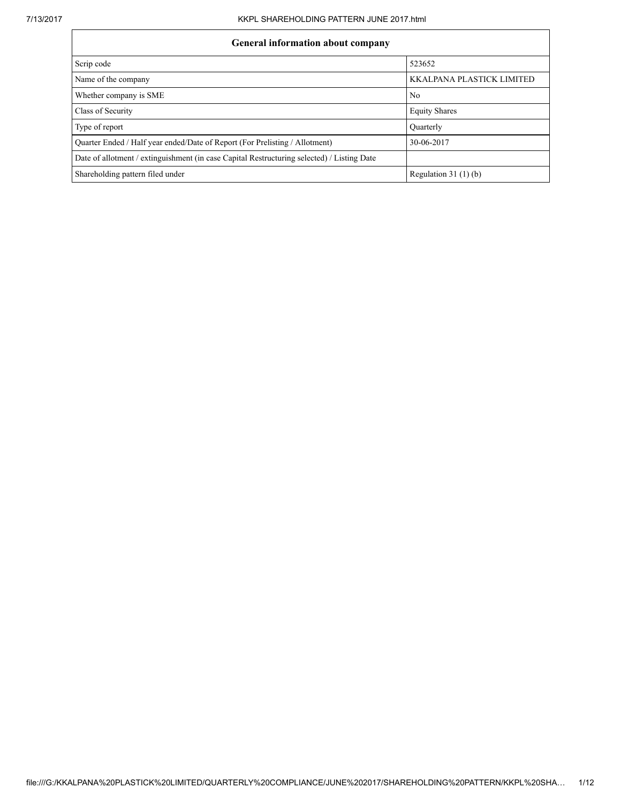# General information about company

| General miormation about company                                                           |                           |  |  |  |  |  |
|--------------------------------------------------------------------------------------------|---------------------------|--|--|--|--|--|
| Scrip code                                                                                 | 523652                    |  |  |  |  |  |
| Name of the company                                                                        | KKALPANA PLASTICK LIMITED |  |  |  |  |  |
| Whether company is SME                                                                     | No                        |  |  |  |  |  |
| Class of Security                                                                          | <b>Equity Shares</b>      |  |  |  |  |  |
| Type of report                                                                             | Quarterly                 |  |  |  |  |  |
| Quarter Ended / Half year ended/Date of Report (For Prelisting / Allotment)                | 30-06-2017                |  |  |  |  |  |
| Date of allotment / extinguishment (in case Capital Restructuring selected) / Listing Date |                           |  |  |  |  |  |
| Shareholding pattern filed under                                                           | Regulation $31(1)(b)$     |  |  |  |  |  |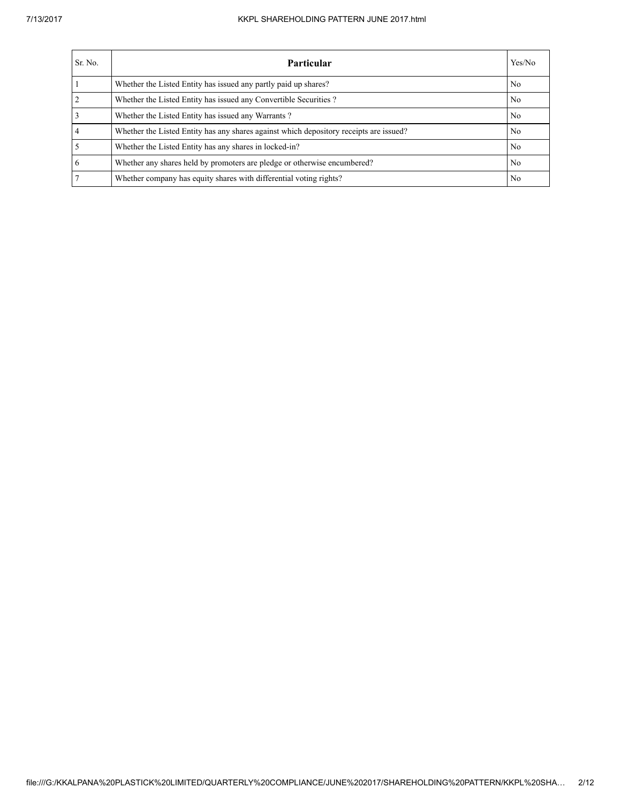#### 7/13/2017 KKPL SHAREHOLDING PATTERN JUNE 2017.html

| Sr. No. | Particular                                                                             | Yes/No |
|---------|----------------------------------------------------------------------------------------|--------|
|         | Whether the Listed Entity has issued any partly paid up shares?                        | No     |
|         | Whether the Listed Entity has issued any Convertible Securities?                       | No     |
|         | Whether the Listed Entity has issued any Warrants?                                     | No     |
|         | Whether the Listed Entity has any shares against which depository receipts are issued? | No     |
|         | Whether the Listed Entity has any shares in locked-in?                                 | No     |
| 6       | Whether any shares held by promoters are pledge or otherwise encumbered?               | No     |
|         | Whether company has equity shares with differential voting rights?                     | No     |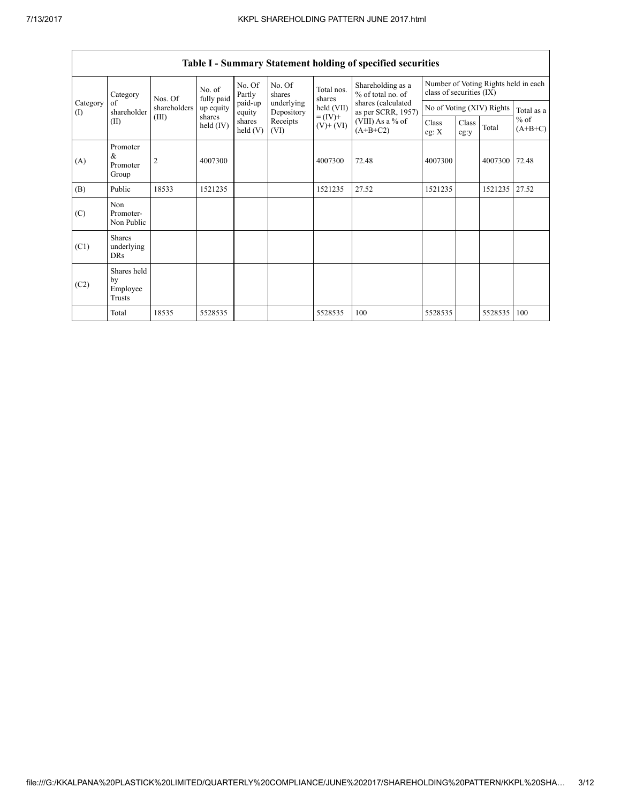| Category        | Nos. Of                                   | No. of<br>fully paid | No. Of<br>Partly      | No. Of<br>shares  | Total nos.<br>shares     | Shareholding as a<br>% of total no. of | Number of Voting Rights held in each<br>class of securities (IX) |                  |               |                           |                     |
|-----------------|-------------------------------------------|----------------------|-----------------------|-------------------|--------------------------|----------------------------------------|------------------------------------------------------------------|------------------|---------------|---------------------------|---------------------|
| Category<br>(I) | of<br>shareholder                         | shareholders         | up equity             | paid-up<br>equity | underlying<br>Depository | held (VII)                             | shares (calculated<br>as per SCRR, 1957)                         |                  |               | No of Voting (XIV) Rights | Total as a          |
|                 | (II)                                      | (III)                | shares<br>held $(IV)$ | shares<br>held(V) | Receipts<br>(VI)         | $= (IV) +$<br>$(V)$ + $(VI)$           | (VIII) As a % of<br>$(A+B+C2)$                                   | Class<br>eg: $X$ | Class<br>eg:y | Total                     | $%$ of<br>$(A+B+C)$ |
| (A)             | Promoter<br>&<br>Promoter<br>Group        | $\overline{c}$       | 4007300               |                   |                          | 4007300                                | 72.48                                                            | 4007300          |               | 4007300                   | 72.48               |
| (B)             | Public                                    | 18533                | 1521235               |                   |                          | 1521235                                | 27.52                                                            | 1521235          |               | 1521235                   | 27.52               |
| (C)             | Non<br>Promoter-<br>Non Public            |                      |                       |                   |                          |                                        |                                                                  |                  |               |                           |                     |
| (C1)            | <b>Shares</b><br>underlying<br><b>DRs</b> |                      |                       |                   |                          |                                        |                                                                  |                  |               |                           |                     |
| (C2)            | Shares held<br>by<br>Employee<br>Trusts   |                      |                       |                   |                          |                                        |                                                                  |                  |               |                           |                     |
|                 | Total                                     | 18535                | 5528535               |                   |                          | 5528535                                | 100                                                              | 5528535          |               | 5528535                   | 100                 |

## Table I - Summary Statement holding of specified securities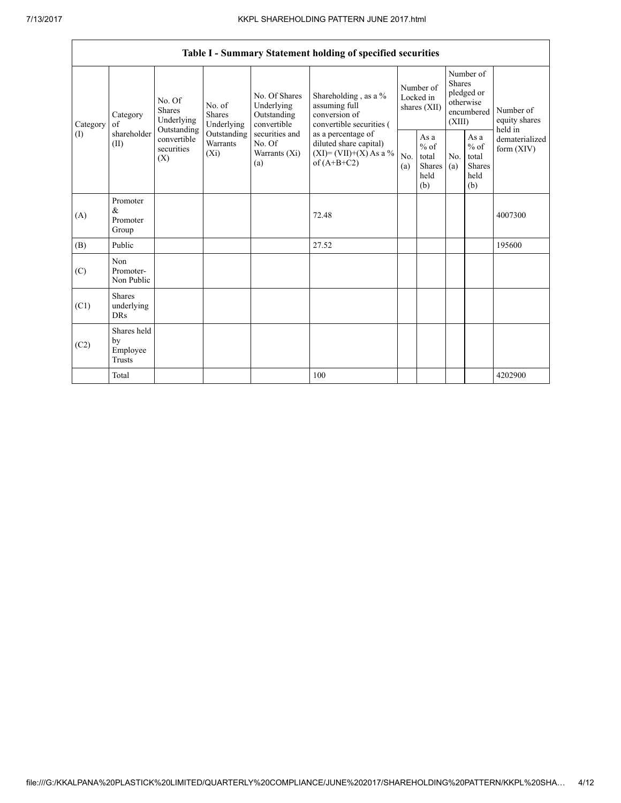┑

|                                                                                                                                                                                                                                                                                                                                                      | Table I - Summary Statement holding of specified securities                              |            |                                                  |            |                                                                                    |                                           |  |                                                                               |  |                            |
|------------------------------------------------------------------------------------------------------------------------------------------------------------------------------------------------------------------------------------------------------------------------------------------------------------------------------------------------------|------------------------------------------------------------------------------------------|------------|--------------------------------------------------|------------|------------------------------------------------------------------------------------|-------------------------------------------|--|-------------------------------------------------------------------------------|--|----------------------------|
| No. Of Shares<br>No. Of<br>Underlying<br>No. of<br><b>Shares</b><br><b>Shares</b><br>Outstanding<br>Category<br>Underlying<br>Underlying<br>convertible<br>of<br>Category<br>Outstanding<br>shareholder<br>Outstanding<br>securities and<br>(1)<br>convertible<br>Warrants<br>No. Of<br>(II)<br>securities<br>$(X_i)$<br>Warrants (Xi)<br>(X)<br>(a) |                                                                                          |            |                                                  |            | Shareholding, as a %<br>assuming full<br>conversion of<br>convertible securities ( | Number of<br>Locked in<br>shares (XII)    |  | Number of<br><b>Shares</b><br>pledged or<br>otherwise<br>encumbered<br>(XIII) |  | Number of<br>equity shares |
|                                                                                                                                                                                                                                                                                                                                                      | as a percentage of<br>diluted share capital)<br>$(XI)=(VII)+(X) As a %$<br>of $(A+B+C2)$ | No.<br>(a) | As a<br>$%$ of<br>total<br>Shares<br>held<br>(b) | No.<br>(a) | As a<br>$%$ of<br>total<br><b>Shares</b><br>held<br>(b)                            | held in<br>dematerialized<br>form $(XIV)$ |  |                                                                               |  |                            |
| (A)                                                                                                                                                                                                                                                                                                                                                  | Promoter<br>&<br>Promoter<br>Group                                                       |            |                                                  |            | 72.48                                                                              |                                           |  |                                                                               |  | 4007300                    |
| (B)                                                                                                                                                                                                                                                                                                                                                  | Public                                                                                   |            |                                                  |            | 27.52                                                                              |                                           |  |                                                                               |  | 195600                     |
| (C)                                                                                                                                                                                                                                                                                                                                                  | Non<br>Promoter-<br>Non Public                                                           |            |                                                  |            |                                                                                    |                                           |  |                                                                               |  |                            |
| (C1)                                                                                                                                                                                                                                                                                                                                                 | <b>Shares</b><br>underlying<br><b>DRs</b>                                                |            |                                                  |            |                                                                                    |                                           |  |                                                                               |  |                            |
| (C2)                                                                                                                                                                                                                                                                                                                                                 | Shares held<br>by<br>Employee<br>Trusts                                                  |            |                                                  |            |                                                                                    |                                           |  |                                                                               |  |                            |
|                                                                                                                                                                                                                                                                                                                                                      | Total                                                                                    |            |                                                  |            | 100                                                                                |                                           |  |                                                                               |  | 4202900                    |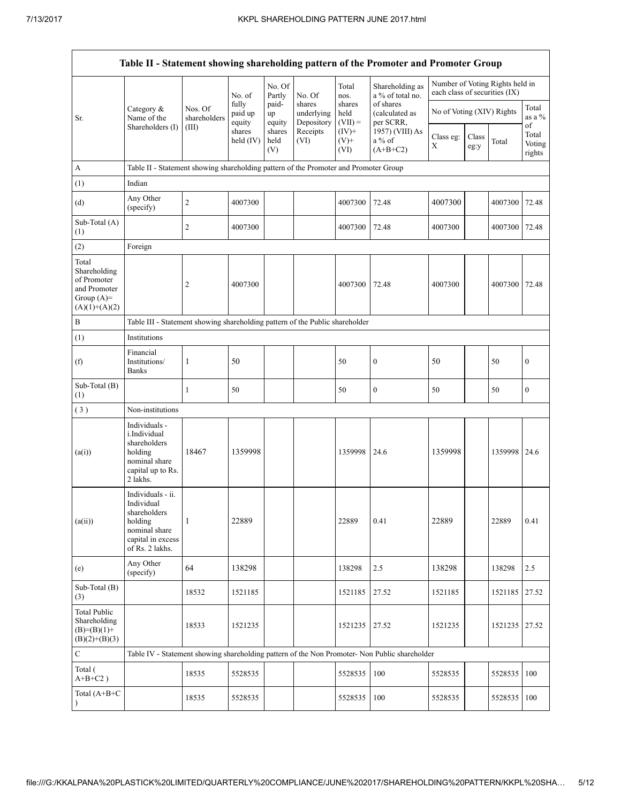|                                                                                         |                                                                                                                     |                         |                            |                       |                                    |                             | Table II - Statement showing shareholding pattern of the Promoter and Promoter Group          |                                                                  |               |         |                                 |
|-----------------------------------------------------------------------------------------|---------------------------------------------------------------------------------------------------------------------|-------------------------|----------------------------|-----------------------|------------------------------------|-----------------------------|-----------------------------------------------------------------------------------------------|------------------------------------------------------------------|---------------|---------|---------------------------------|
|                                                                                         |                                                                                                                     |                         | No. of                     | No. Of<br>Partly      | No. Of                             | Total<br>nos.               | Shareholding as<br>a % of total no.                                                           | Number of Voting Rights held in<br>each class of securities (IX) |               |         |                                 |
| Sr.                                                                                     | Category &<br>Name of the                                                                                           | Nos. Of<br>shareholders | fully<br>paid up<br>equity | paid-<br>up<br>equity | shares<br>underlying<br>Depository | shares<br>held<br>$(VII) =$ | of shares<br>(calculated as<br>per SCRR,                                                      | No of Voting (XIV) Rights                                        |               |         | Total<br>as a $%$               |
|                                                                                         | Shareholders (I)                                                                                                    | (III)                   | shares<br>held (IV)        | shares<br>held<br>(V) | Receipts<br>(VI)                   | $(IV)$ +<br>$(V)$ +<br>(VI) | 1957) (VIII) As<br>$a\%$ of<br>$(A+B+C2)$                                                     | Class eg:<br>X                                                   | Class<br>eg:y | Total   | of<br>Total<br>Voting<br>rights |
| A                                                                                       | Table II - Statement showing shareholding pattern of the Promoter and Promoter Group                                |                         |                            |                       |                                    |                             |                                                                                               |                                                                  |               |         |                                 |
| (1)                                                                                     | Indian                                                                                                              |                         |                            |                       |                                    |                             |                                                                                               |                                                                  |               |         |                                 |
| (d)                                                                                     | Any Other<br>(specify)                                                                                              | $\overline{c}$          | 4007300                    |                       |                                    | 4007300                     | 72.48                                                                                         | 4007300                                                          |               | 4007300 | 72.48                           |
| Sub-Total (A)<br>(1)                                                                    |                                                                                                                     | $\overline{c}$          | 4007300                    |                       |                                    | 4007300                     | 72.48                                                                                         | 4007300                                                          |               | 4007300 | 72.48                           |
| (2)                                                                                     | Foreign                                                                                                             |                         |                            |                       |                                    |                             |                                                                                               |                                                                  |               |         |                                 |
| Total<br>Shareholding<br>of Promoter<br>and Promoter<br>Group $(A)=$<br>$(A)(1)+(A)(2)$ |                                                                                                                     | $\overline{c}$          | 4007300                    |                       |                                    | 4007300                     | 72.48                                                                                         | 4007300                                                          |               | 4007300 | 72.48                           |
| B                                                                                       | Table III - Statement showing shareholding pattern of the Public shareholder                                        |                         |                            |                       |                                    |                             |                                                                                               |                                                                  |               |         |                                 |
| (1)                                                                                     | Institutions                                                                                                        |                         |                            |                       |                                    |                             |                                                                                               |                                                                  |               |         |                                 |
| (f)                                                                                     | Financial<br>Institutions/<br><b>Banks</b>                                                                          | 1                       | 50                         |                       |                                    | 50                          | $\boldsymbol{0}$                                                                              | 50                                                               |               | 50      | $\boldsymbol{0}$                |
| Sub-Total (B)<br>(1)                                                                    |                                                                                                                     | 1                       | 50                         |                       |                                    | 50                          | $\boldsymbol{0}$                                                                              | 50                                                               |               | 50      | $\boldsymbol{0}$                |
| (3)                                                                                     | Non-institutions                                                                                                    |                         |                            |                       |                                    |                             |                                                                                               |                                                                  |               |         |                                 |
| (a(i))                                                                                  | Individuals -<br>i.Individual<br>shareholders<br>holding<br>nominal share<br>capital up to Rs.<br>2 lakhs.          | 18467                   | 1359998                    |                       |                                    | 1359998                     | 24.6                                                                                          | 1359998                                                          |               | 1359998 | 24.6                            |
| (a(ii))                                                                                 | Individuals - ii.<br>Individual<br>shareholders<br>holding<br>nominal share<br>capital in excess<br>of Rs. 2 lakhs. | 1                       | 22889                      |                       |                                    | 22889                       | 0.41                                                                                          | 22889                                                            |               | 22889   | 0.41                            |
| (e)                                                                                     | Any Other<br>(specify)                                                                                              | 64                      | 138298                     |                       |                                    | 138298                      | 2.5                                                                                           | 138298                                                           |               | 138298  | 2.5                             |
| Sub-Total (B)<br>(3)                                                                    |                                                                                                                     | 18532                   | 1521185                    |                       |                                    | 1521185                     | 27.52                                                                                         | 1521185                                                          |               | 1521185 | 27.52                           |
| Total Public<br>Shareholding<br>$(B)=(B)(1)+$<br>$(B)(2)+(B)(3)$                        |                                                                                                                     | 18533                   | 1521235                    |                       |                                    | 1521235                     | 27.52                                                                                         | 1521235                                                          |               | 1521235 | 27.52                           |
| $\mathbf C$                                                                             |                                                                                                                     |                         |                            |                       |                                    |                             | Table IV - Statement showing shareholding pattern of the Non Promoter- Non Public shareholder |                                                                  |               |         |                                 |
| Total (<br>$A+B+C2$ )                                                                   |                                                                                                                     | 18535                   | 5528535                    |                       |                                    | 5528535                     | 100                                                                                           | 5528535                                                          |               | 5528535 | 100                             |
| Total (A+B+C                                                                            |                                                                                                                     | 18535                   | 5528535                    |                       |                                    | 5528535                     | 100                                                                                           | 5528535                                                          |               | 5528535 | 100                             |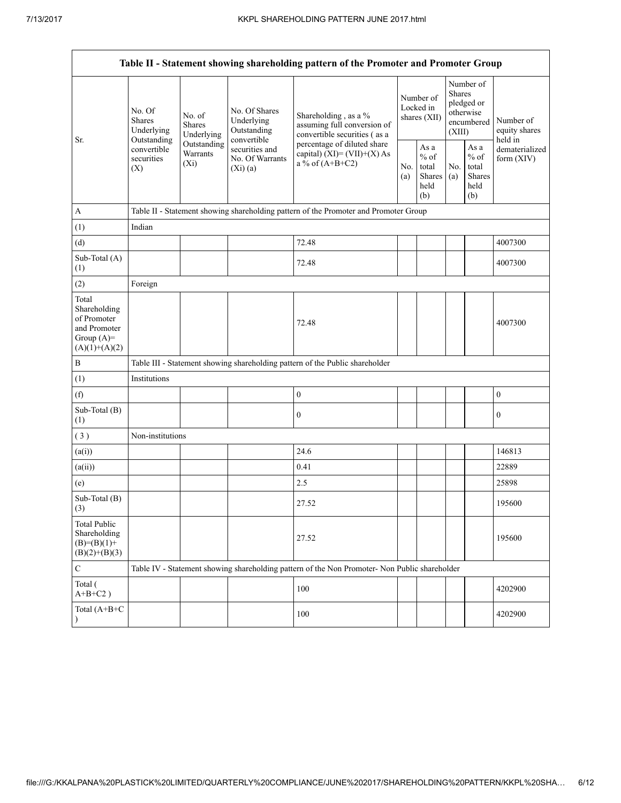|                                                                                         | Table II - Statement showing shareholding pattern of the Promoter and Promoter Group |                                    |                                                             |                                                                                                                                                                           |                                        |                                                  |                                                                        |                                                  |                                           |
|-----------------------------------------------------------------------------------------|--------------------------------------------------------------------------------------|------------------------------------|-------------------------------------------------------------|---------------------------------------------------------------------------------------------------------------------------------------------------------------------------|----------------------------------------|--------------------------------------------------|------------------------------------------------------------------------|--------------------------------------------------|-------------------------------------------|
| Sr.                                                                                     | No. Of<br>Shares<br>Underlying                                                       | No. of<br>Shares<br>Underlying     | No. Of Shares<br>Underlying<br>Outstanding                  | Shareholding, as a %<br>assuming full conversion of<br>convertible securities (as a<br>percentage of diluted share<br>capital) $(XI) = (VII)+(X) As$<br>a % of $(A+B+C2)$ | Number of<br>Locked in<br>shares (XII) |                                                  | Number of<br>Shares<br>pledged or<br>otherwise<br>encumbered<br>(XIII) |                                                  | Number of<br>equity shares                |
|                                                                                         | Outstanding<br>convertible<br>securities<br>(X)                                      | Outstanding<br>Warrants<br>$(X_i)$ | convertible<br>securities and<br>No. Of Warrants<br>(Xi)(a) |                                                                                                                                                                           | No.<br>(a)                             | As a<br>$%$ of<br>total<br>Shares<br>held<br>(b) | No.<br>(a)                                                             | As a<br>$%$ of<br>total<br>Shares<br>held<br>(b) | held in<br>dematerialized<br>form $(XIV)$ |
| $\boldsymbol{A}$                                                                        |                                                                                      |                                    |                                                             | Table II - Statement showing shareholding pattern of the Promoter and Promoter Group                                                                                      |                                        |                                                  |                                                                        |                                                  |                                           |
| (1)                                                                                     | Indian                                                                               |                                    |                                                             |                                                                                                                                                                           |                                        |                                                  |                                                                        |                                                  |                                           |
| (d)                                                                                     |                                                                                      |                                    |                                                             | 72.48                                                                                                                                                                     |                                        |                                                  |                                                                        |                                                  | 4007300                                   |
| Sub-Total (A)<br>(1)                                                                    |                                                                                      |                                    |                                                             | 72.48                                                                                                                                                                     |                                        |                                                  |                                                                        |                                                  | 4007300                                   |
| (2)                                                                                     | Foreign                                                                              |                                    |                                                             |                                                                                                                                                                           |                                        |                                                  |                                                                        |                                                  |                                           |
| Total<br>Shareholding<br>of Promoter<br>and Promoter<br>Group $(A)=$<br>$(A)(1)+(A)(2)$ |                                                                                      |                                    |                                                             | 72.48                                                                                                                                                                     |                                        |                                                  |                                                                        |                                                  | 4007300                                   |
| $\, {\bf B}$                                                                            |                                                                                      |                                    |                                                             | Table III - Statement showing shareholding pattern of the Public shareholder                                                                                              |                                        |                                                  |                                                                        |                                                  |                                           |
| (1)                                                                                     | Institutions                                                                         |                                    |                                                             |                                                                                                                                                                           |                                        |                                                  |                                                                        |                                                  |                                           |
| (f)                                                                                     |                                                                                      |                                    |                                                             | $\boldsymbol{0}$                                                                                                                                                          |                                        |                                                  |                                                                        |                                                  | $\boldsymbol{0}$                          |
| Sub-Total (B)<br>(1)                                                                    |                                                                                      |                                    |                                                             | $\mathbf{0}$                                                                                                                                                              |                                        |                                                  |                                                                        |                                                  | $\mathbf{0}$                              |
| (3)                                                                                     | Non-institutions                                                                     |                                    |                                                             |                                                                                                                                                                           |                                        |                                                  |                                                                        |                                                  |                                           |
| (a(i))                                                                                  |                                                                                      |                                    |                                                             | 24.6                                                                                                                                                                      |                                        |                                                  |                                                                        |                                                  | 146813                                    |
| (a(ii))                                                                                 |                                                                                      |                                    |                                                             | 0.41                                                                                                                                                                      |                                        |                                                  |                                                                        |                                                  | 22889                                     |
| (e)                                                                                     |                                                                                      |                                    |                                                             | 2.5                                                                                                                                                                       |                                        |                                                  |                                                                        |                                                  | 25898                                     |
| Sub-Total (B)<br>(3)                                                                    |                                                                                      |                                    |                                                             | 27.52                                                                                                                                                                     |                                        |                                                  |                                                                        |                                                  | 195600                                    |
| <b>Total Public</b><br>Shareholding<br>$(B)= (B)(1) +$<br>$(B)(2)+(B)(3)$               |                                                                                      |                                    |                                                             | 27.52                                                                                                                                                                     |                                        |                                                  |                                                                        |                                                  | 195600                                    |
| $\mathbf C$                                                                             |                                                                                      |                                    |                                                             | Table IV - Statement showing shareholding pattern of the Non Promoter- Non Public shareholder                                                                             |                                        |                                                  |                                                                        |                                                  |                                           |
| Total (<br>$A+B+C2$ )                                                                   |                                                                                      |                                    |                                                             | 100                                                                                                                                                                       |                                        |                                                  |                                                                        |                                                  | 4202900                                   |
| Total (A+B+C                                                                            |                                                                                      |                                    |                                                             | 100                                                                                                                                                                       |                                        |                                                  |                                                                        |                                                  | 4202900                                   |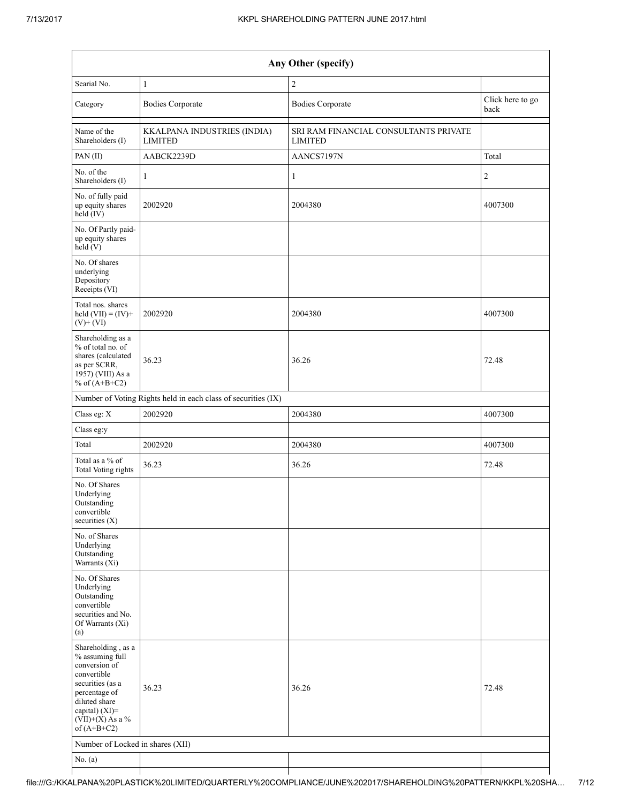| Any Other (specify)                                                                                                                                                                  |                                                               |                                                         |                          |  |  |  |
|--------------------------------------------------------------------------------------------------------------------------------------------------------------------------------------|---------------------------------------------------------------|---------------------------------------------------------|--------------------------|--|--|--|
| Searial No.                                                                                                                                                                          | $\mathbf{1}$                                                  | $\sqrt{2}$                                              |                          |  |  |  |
| Category                                                                                                                                                                             | <b>Bodies Corporate</b>                                       | <b>Bodies Corporate</b>                                 | Click here to go<br>back |  |  |  |
| Name of the<br>Shareholders (I)                                                                                                                                                      | KKALPANA INDUSTRIES (INDIA)<br><b>LIMITED</b>                 | SRI RAM FINANCIAL CONSULTANTS PRIVATE<br><b>LIMITED</b> |                          |  |  |  |
| PAN(II)                                                                                                                                                                              | AABCK2239D                                                    | AANCS7197N                                              | Total                    |  |  |  |
| No. of the<br>Shareholders (I)                                                                                                                                                       | $\mathbf{1}$                                                  | $\mathbf{1}$                                            | $\overline{c}$           |  |  |  |
| No. of fully paid<br>up equity shares<br>$held$ (IV)                                                                                                                                 | 2002920                                                       | 2004380                                                 | 4007300                  |  |  |  |
| No. Of Partly paid-<br>up equity shares<br>held(V)                                                                                                                                   |                                                               |                                                         |                          |  |  |  |
| No. Of shares<br>underlying<br>Depository<br>Receipts (VI)                                                                                                                           |                                                               |                                                         |                          |  |  |  |
| Total nos. shares<br>held $(VII) = (IV) +$<br>$(V)$ + $(VI)$                                                                                                                         | 2002920                                                       | 2004380                                                 | 4007300                  |  |  |  |
| Shareholding as a<br>% of total no. of<br>shares (calculated<br>as per SCRR,<br>1957) (VIII) As a<br>% of $(A+B+C2)$                                                                 | 36.23                                                         | 36.26                                                   | 72.48                    |  |  |  |
|                                                                                                                                                                                      | Number of Voting Rights held in each class of securities (IX) |                                                         |                          |  |  |  |
| Class eg: X                                                                                                                                                                          | 2002920                                                       | 2004380                                                 | 4007300                  |  |  |  |
| Class eg:y                                                                                                                                                                           |                                                               |                                                         |                          |  |  |  |
| Total                                                                                                                                                                                | 2002920                                                       | 2004380                                                 | 4007300                  |  |  |  |
| Total as a % of<br><b>Total Voting rights</b>                                                                                                                                        | 36.23                                                         | 36.26                                                   | 72.48                    |  |  |  |
| No. Of Shares<br>Underlying<br>Outstanding<br>convertible<br>securities $(X)$                                                                                                        |                                                               |                                                         |                          |  |  |  |
| No. of Shares<br>Underlying<br>Outstanding<br>Warrants (Xi)                                                                                                                          |                                                               |                                                         |                          |  |  |  |
| No. Of Shares<br>Underlying<br>Outstanding<br>convertible<br>securities and No.<br>Of Warrants (Xi)<br>(a)                                                                           |                                                               |                                                         |                          |  |  |  |
| Shareholding, as a<br>% assuming full<br>conversion of<br>convertible<br>securities (as a<br>percentage of<br>diluted share<br>capital) (XI)=<br>$(VII)+(X)$ As a %<br>of $(A+B+C2)$ | 36.23                                                         | 36.26                                                   | 72.48                    |  |  |  |
| Number of Locked in shares (XII)                                                                                                                                                     |                                                               |                                                         |                          |  |  |  |
| No. $(a)$                                                                                                                                                                            |                                                               |                                                         |                          |  |  |  |
|                                                                                                                                                                                      |                                                               |                                                         |                          |  |  |  |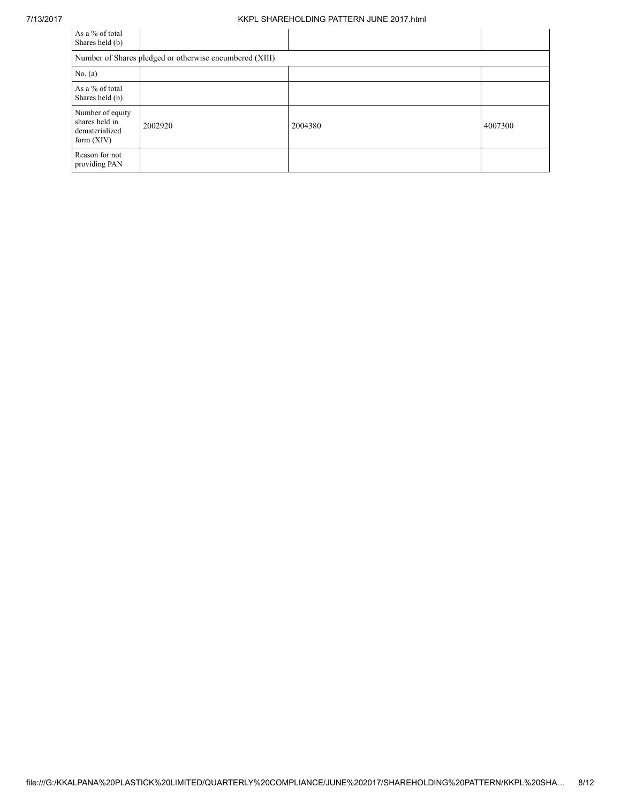#### 7/13/2017 KKPL SHAREHOLDING PATTERN JUNE 2017.html

| As a % of total<br>Shares held (b)                                   |                                                         |         |         |
|----------------------------------------------------------------------|---------------------------------------------------------|---------|---------|
|                                                                      | Number of Shares pledged or otherwise encumbered (XIII) |         |         |
| No. (a)                                                              |                                                         |         |         |
| As a % of total<br>Shares held (b)                                   |                                                         |         |         |
| Number of equity<br>shares held in<br>dematerialized<br>form $(XIV)$ | 2002920                                                 | 2004380 | 4007300 |
| Reason for not<br>providing PAN                                      |                                                         |         |         |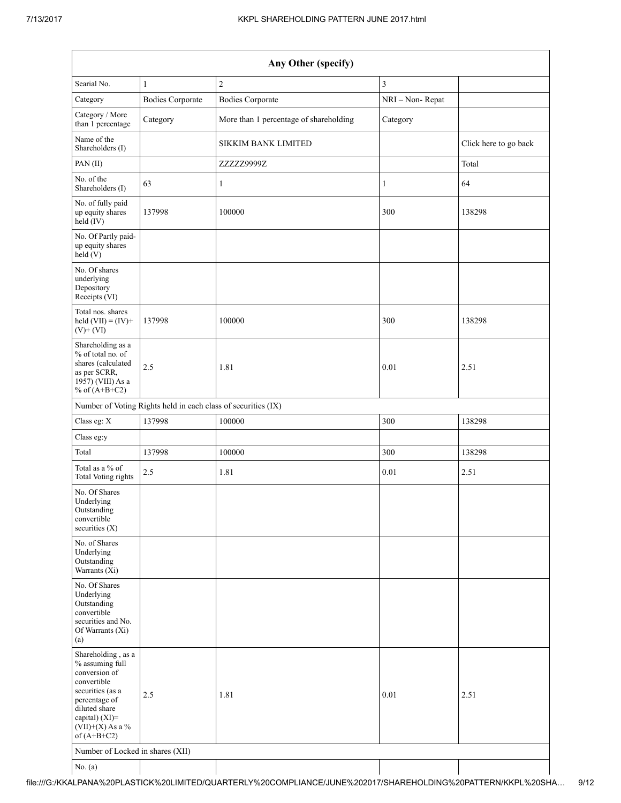| Any Other (specify)                                                                                                                                                                     |                                                               |                                        |                 |                       |  |  |  |
|-----------------------------------------------------------------------------------------------------------------------------------------------------------------------------------------|---------------------------------------------------------------|----------------------------------------|-----------------|-----------------------|--|--|--|
| Searial No.                                                                                                                                                                             | $\mathbf{1}$                                                  | $\overline{2}$                         | $\mathfrak{Z}$  |                       |  |  |  |
| Category                                                                                                                                                                                | <b>Bodies Corporate</b>                                       | <b>Bodies Corporate</b>                | NRI - Non-Repat |                       |  |  |  |
| Category / More<br>than 1 percentage                                                                                                                                                    | Category                                                      | More than 1 percentage of shareholding | Category        |                       |  |  |  |
| Name of the<br>Shareholders (I)                                                                                                                                                         |                                                               | <b>SIKKIM BANK LIMITED</b>             |                 | Click here to go back |  |  |  |
| PAN(II)                                                                                                                                                                                 |                                                               | ZZZZZ9999Z                             |                 | Total                 |  |  |  |
| No. of the<br>Shareholders (I)                                                                                                                                                          | 63                                                            | $\mathbf{1}$                           | $\mathbf{1}$    | 64                    |  |  |  |
| No. of fully paid<br>up equity shares<br>held (IV)                                                                                                                                      | 137998                                                        | 100000                                 | 300             | 138298                |  |  |  |
| No. Of Partly paid-<br>up equity shares<br>held (V)                                                                                                                                     |                                                               |                                        |                 |                       |  |  |  |
| No. Of shares<br>underlying<br>Depository<br>Receipts (VI)                                                                                                                              |                                                               |                                        |                 |                       |  |  |  |
| Total nos. shares<br>held $(VII) = (IV) +$<br>$(V)$ + $(VI)$                                                                                                                            | 137998                                                        | 100000                                 | 300             | 138298                |  |  |  |
| Shareholding as a<br>% of total no. of<br>shares (calculated<br>as per SCRR,<br>1957) (VIII) As a<br>% of $(A+B+C2)$                                                                    | 2.5                                                           | 1.81                                   | 0.01            | 2.51                  |  |  |  |
|                                                                                                                                                                                         | Number of Voting Rights held in each class of securities (IX) |                                        |                 |                       |  |  |  |
| Class eg: X                                                                                                                                                                             | 137998                                                        | 100000                                 | 300             | 138298                |  |  |  |
| Class eg:y                                                                                                                                                                              |                                                               |                                        |                 |                       |  |  |  |
| Total                                                                                                                                                                                   | 137998                                                        | 100000                                 | 300             | 138298                |  |  |  |
| Total as a % of<br>Total Voting rights                                                                                                                                                  | 2.5                                                           | 1.81                                   | 0.01            | 2.51                  |  |  |  |
| No. Of Shares<br>Underlying<br>Outstanding<br>convertible<br>securities $(X)$                                                                                                           |                                                               |                                        |                 |                       |  |  |  |
| No. of Shares<br>Underlying<br>Outstanding<br>Warrants $(X_i)$                                                                                                                          |                                                               |                                        |                 |                       |  |  |  |
| No. Of Shares<br>Underlying<br>Outstanding<br>convertible<br>securities and No.<br>Of Warrants (Xi)<br>(a)                                                                              |                                                               |                                        |                 |                       |  |  |  |
| Shareholding, as a<br>% assuming full<br>conversion of<br>convertible<br>securities (as a<br>percentage of<br>diluted share<br>capital) $(XI)$ =<br>$(VII)+(X)$ As a %<br>of $(A+B+C2)$ | 2.5                                                           | 1.81                                   | 0.01            | 2.51                  |  |  |  |
| Number of Locked in shares (XII)                                                                                                                                                        |                                                               |                                        |                 |                       |  |  |  |
| No. $(a)$                                                                                                                                                                               |                                                               |                                        |                 |                       |  |  |  |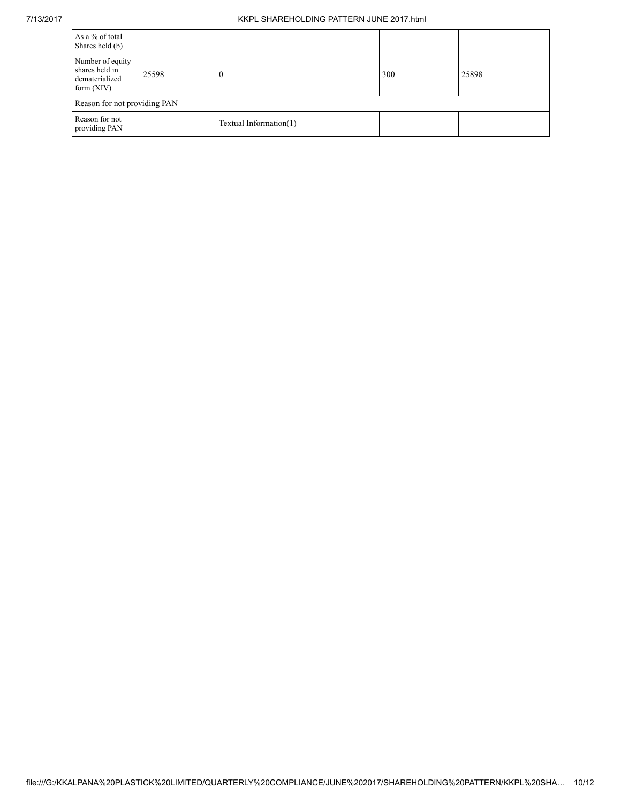### 7/13/2017 KKPL SHAREHOLDING PATTERN JUNE 2017.html

| As a % of total<br>Shares held (b)                                   |                              |                        |     |       |  |  |  |
|----------------------------------------------------------------------|------------------------------|------------------------|-----|-------|--|--|--|
| Number of equity<br>shares held in<br>dematerialized<br>form $(XIV)$ | 25598                        | $\theta$               | 300 | 25898 |  |  |  |
|                                                                      | Reason for not providing PAN |                        |     |       |  |  |  |
| Reason for not<br>providing PAN                                      |                              | Textual Information(1) |     |       |  |  |  |